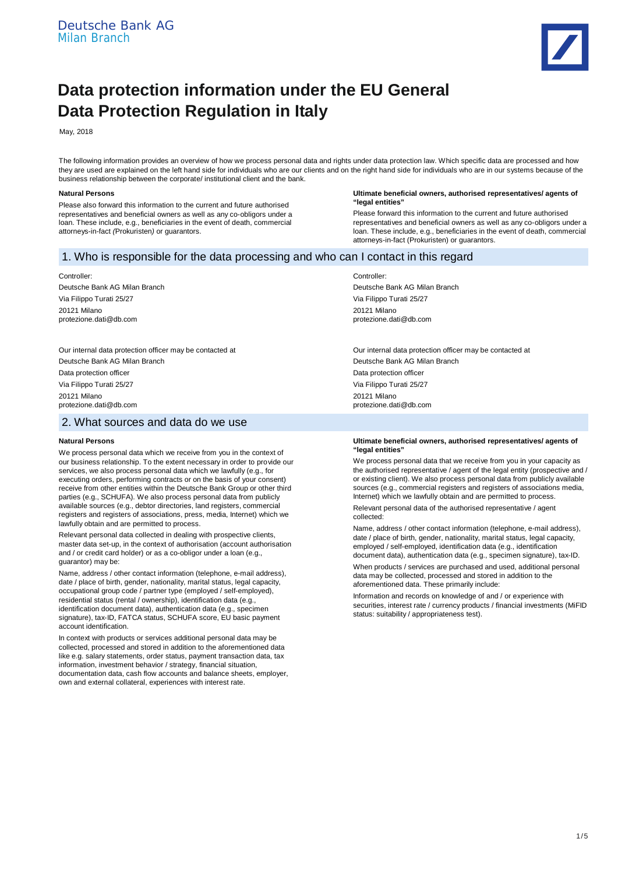

# **Data protection information under the EU General Data Protection Regulation in Italy**

May, 2018

The following information provides an overview of how we process personal data and rights under data protection law. Which specific data are processed and how they are used are explained on the left hand side for individuals who are our clients and on the right hand side for individuals who are in our systems because of the business relationship between the corporate/ institutional client and the bank.

### **Natural Persons**

Please also forward this information to the current and future authorised representatives and beneficial owners as well as any co-obligors under a loan. These include, e.g., beneficiaries in the event of death, commercial attorneys-in-fact *(*Prokuristen*)* or guarantors.

### **Ultimate beneficial owners, authorised representatives/ agents of "legal entities"**

Please forward this information to the current and future authorised representatives and beneficial owners as well as any co-obligors under a loan. These include, e.g., beneficiaries in the event of death, commercial attorneys-in-fact (Prokuristen) or guarantors.

# 1. Who is responsible for the data processing and who can I contact in this regard

# Controller:

Deutsche Bank AG Milan Branch Via Filippo Turati 25/27 20121 Milano protezione.dati@db.com

Our internal data protection officer may be contacted at Deutsche Bank AG Milan Branch Data protection officer Via Filippo Turati 25/27

20121 Milano protezione.dati@db.com

# 2. What sources and data do we use

### **Natural Persons**

We process personal data which we receive from you in the context of our business relationship. To the extent necessary in order to provide our services, we also process personal data which we lawfully (e.g., for executing orders, performing contracts or on the basis of your consent) receive from other entities within the Deutsche Bank Group or other third parties (e.g., SCHUFA). We also process personal data from publicly available sources (e.g., debtor directories, land registers, commercial registers and registers of associations, press, media, Internet) which we lawfully obtain and are permitted to process.

Relevant personal data collected in dealing with prospective clients, master data set-up, in the context of authorisation (account authorisation and / or credit card holder) or as a co-obligor under a loan (e.g., guarantor) may be:

Name, address / other contact information (telephone, e-mail address), date / place of birth, gender, nationality, marital status, legal capacity, occupational group code / partner type (employed / self-employed), residential status (rental / ownership), identification data (e.g., identification document data), authentication data (e.g., specimen signature), tax-ID, FATCA status, SCHUFA score, EU basic payment account identification.

In context with products or services additional personal data may be collected, processed and stored in addition to the aforementioned data like e.g. salary statements, order status, payment transaction data, tax information, investment behavior / strategy, financial situation, documentation data, cash flow accounts and balance sheets, employer, own and external collateral, experiences with interest rate.

Controller: Deutsche Bank AG Milan Branch Via Filippo Turati 25/27 20121 Milano protezione.dati@db.com

Our internal data protection officer may be contacted at Deutsche Bank AG Milan Branch Data protection officer Via Filippo Turati 25/27 20121 Milano protezione.dati@db.com

#### **Ultimate beneficial owners, authorised representatives/ agents of "legal entities"**

We process personal data that we receive from you in your capacity as the authorised representative / agent of the legal entity (prospective and / or existing client). We also process personal data from publicly available sources (e.g., commercial registers and registers of associations media, Internet) which we lawfully obtain and are permitted to process. Relevant personal data of the authorised representative / agent collected:

Name, address / other contact information (telephone, e-mail address), date / place of birth, gender, nationality, marital status, legal capacity, employed / self-employed, identification data (e.g., identification document data), authentication data (e.g., specimen signature), tax-ID.

When products / services are purchased and used, additional personal data may be collected, processed and stored in addition to the aforementioned data. These primarily include:

Information and records on knowledge of and / or experience with securities, interest rate / currency products / financial investments (MiFID status: suitability / appropriateness test).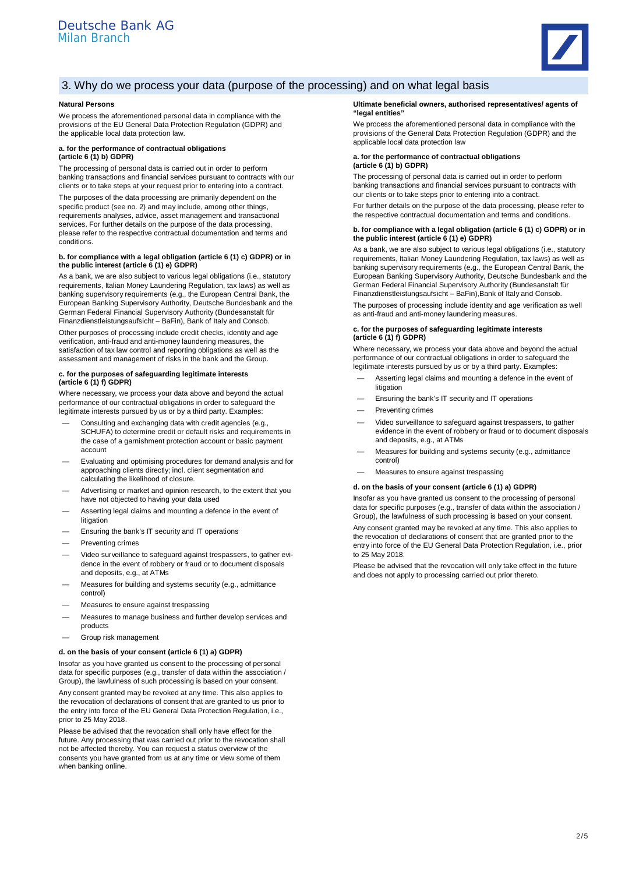

# 3. Why do we process your data (purpose of the processing) and on what legal basis

### **Natural Persons**

We process the aforementioned personal data in compliance with the provisions of the EU General Data Protection Regulation (GDPR) and the applicable local data protection law.

### **a. for the performance of contractual obligations (article 6 (1) b) GDPR)**

The processing of personal data is carried out in order to perform banking transactions and financial services pursuant to contracts with our clients or to take steps at your request prior to entering into a contract.

The purposes of the data processing are primarily dependent on the specific product (see no. 2) and may include, among other things, requirements analyses, advice, asset management and transactional services. For further details on the purpose of the data processing, please refer to the respective contractual documentation and terms and conditions.

### **b. for compliance with a legal obligation (article 6 (1) c) GDPR) or in the public interest (article 6 (1) e) GDPR)**

As a bank, we are also subject to various legal obligations (i.e., statutory requirements, Italian Money Laundering Regulation, tax laws) as well as banking supervisory requirements (e.g., the European Central Bank, the European Banking Supervisory Authority, Deutsche Bundesbank and the German Federal Financial Supervisory Authority (Bundesanstalt für Finanzdienstleistungsaufsicht – BaFin), Bank of Italy and Consob.

Other purposes of processing include credit checks, identity and age verification, anti-fraud and anti-money laundering measures, the satisfaction of tax law control and reporting obligations as well as the assessment and management of risks in the bank and the Group.

#### **c. for the purposes of safeguarding legitimate interests (article 6 (1) f) GDPR)**

Where necessary, we process your data above and beyond the actual performance of our contractual obligations in order to safeguard the legitimate interests pursued by us or by a third party. Examples:

- Consulting and exchanging data with credit agencies (e.g., SCHUFA) to determine credit or default risks and requirements in the case of a garnishment protection account or basic payment account
- Evaluating and optimising procedures for demand analysis and for approaching clients directly; incl. client segmentation and calculating the likelihood of closure.
- Advertising or market and opinion research, to the extent that you have not objected to having your data used
- Asserting legal claims and mounting a defence in the event of litigation
- Ensuring the bank's IT security and IT operations
- Preventing crimes
- Video surveillance to safeguard against trespassers, to gather evidence in the event of robbery or fraud or to document disposals and deposits, e.g., at ATMs
- Measures for building and systems security (e.g., admittance control)
- Measures to ensure against trespassing
- Measures to manage business and further develop services and products
- Group risk management

### **d. on the basis of your consent (article 6 (1) a) GDPR)**

Insofar as you have granted us consent to the processing of personal data for specific purposes (e.g., transfer of data within the association / Group), the lawfulness of such processing is based on your consent. Any consent granted may be revoked at any time. This also applies to the revocation of declarations of consent that are granted to us prior to the entry into force of the EU General Data Protection Regulation, i.e., prior to 25 May 2018.

Please be advised that the revocation shall only have effect for the future. Any processing that was carried out prior to the revocation shall not be affected thereby. You can request a status overview of the consents you have granted from us at any time or view some of them when banking online.

#### **Ultimate beneficial owners, authorised representatives/ agents of "legal entities"**

We process the aforementioned personal data in compliance with the provisions of the General Data Protection Regulation (GDPR) and the applicable local data protection law

#### **a. for the performance of contractual obligations (article 6 (1) b) GDPR)**

The processing of personal data is carried out in order to perform banking transactions and financial services pursuant to contracts with our clients or to take steps prior to entering into a contract.

For further details on the purpose of the data processing, please refer to the respective contractual documentation and terms and conditions.

#### **b. for compliance with a legal obligation (article 6 (1) c) GDPR) or in the public interest (article 6 (1) e) GDPR)**

As a bank, we are also subject to various legal obligations (i.e., statutory requirements, Italian Money Laundering Regulation, tax laws) as well as banking supervisory requirements (e.g., the European Central Bank, the European Banking Supervisory Authority, Deutsche Bundesbank and the German Federal Financial Supervisory Authority (Bundesanstalt für Finanzdienstleistungsaufsicht – BaFin),Bank of Italy and Consob.

The purposes of processing include identity and age verification as well as anti-fraud and anti-money laundering measures.

### **c. for the purposes of safeguarding legitimate interests (article 6 (1) f) GDPR)**

Where necessary, we process your data above and beyond the actual performance of our contractual obligations in order to safeguard the legitimate interests pursued by us or by a third party. Examples:

- Asserting legal claims and mounting a defence in the event of litigation
- Ensuring the bank's IT security and IT operations
- Preventing crimes
- Video surveillance to safeguard against trespassers, to gather evidence in the event of robbery or fraud or to document disposals and deposits, e.g., at ATMs
- Measures for building and systems security (e.g., admittance control)
- Measures to ensure against trespassing

#### **d. on the basis of your consent (article 6 (1) a) GDPR)**

Insofar as you have granted us consent to the processing of personal data for specific purposes (e.g., transfer of data within the association / Group), the lawfulness of such processing is based on your consent.

Any consent granted may be revoked at any time. This also applies to the revocation of declarations of consent that are granted prior to the entry into force of the EU General Data Protection Regulation, i.e., prior to 25 May 2018.

Please be advised that the revocation will only take effect in the future and does not apply to processing carried out prior thereto.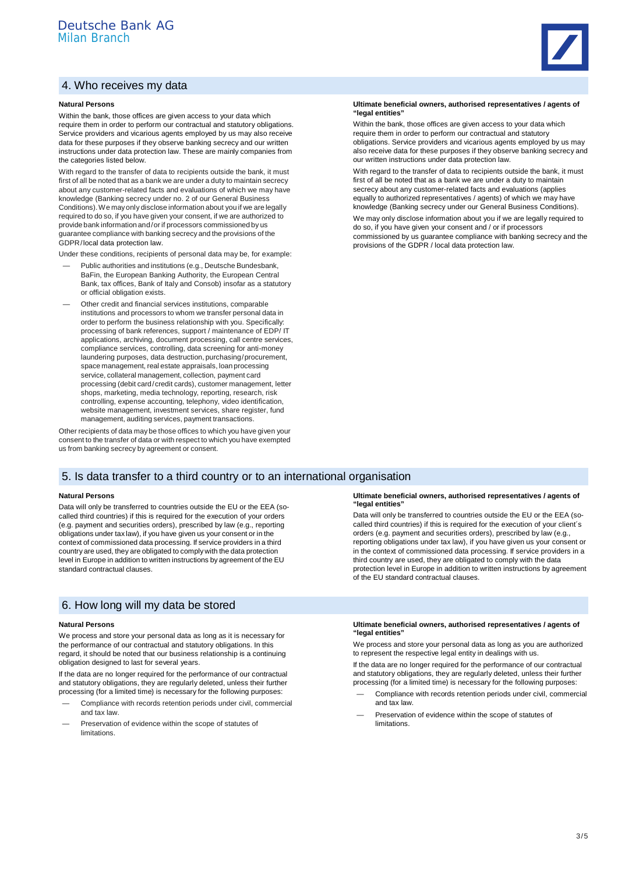# 4. Who receives my data

### **Natural Persons**

Within the bank, those offices are given access to your data which require them in order to perform our contractual and statutory obligations. Service providers and vicarious agents employed by us may also receive data for these purposes if they observe banking secrecy and our written instructions under data protection law. These are mainly companies from the categories listed below.

With regard to the transfer of data to recipients outside the bank, it must first of all be noted that as a bank we are under a duty to maintain secrecy about any customer-related facts and evaluations of which we may have knowledge (Banking secrecy under no. 2 of our General Business Conditions). We may only disclose information about you if we are legally required to do so, if you have given your consent, if we are authorized to provide bank information and / or if processors commissioned by us guarantee compliance with banking secrecy and the provisions of the GDPR /local data protection law.

Under these conditions, recipients of personal data may be, for example:

- Public authorities and institutions (e.g., Deutsche Bundesbank, BaFin, the European Banking Authority, the European Central Bank, tax offices, Bank of Italy and Consob) insofar as a statutory or official obligation exists.
- Other credit and financial services institutions, comparable institutions and processors to whom we transfer personal data in order to perform the business relationship with you. Specifically: processing of bank references, support / maintenance of EDP/ IT applications, archiving, document processing, call centre services, compliance services, controlling, data screening for anti-money laundering purposes, data destruction, purchasing / procurement, space management, real estate appraisals, loan processing service, collateral management, collection, payment card processing (debit card/credit cards), customer management, letter shops, marketing, media technology, reporting, research, risk controlling, expense accounting, telephony, video identification, website management, investment services, share register, fund management, auditing services, payment transactions.

Other recipients of data may be those offices to which you have given your consent to the transfer of data or with respect to which you have exempted us from banking secrecy by agreement or consent.

# 5. Is data transfer to a third country or to an international organisation

### **Natural Persons**

Data will only be transferred to countries outside the EU or the EEA (socalled third countries) if this is required for the execution of your orders (e.g. payment and securities orders), prescribed by law (e.g., reporting obligations under tax law), if you have given us your consent or in the context of commissioned data processing. If service providers in a third country are used, they are obligated to comply with the data protection level in Europe in addition to written instructions by agreement of the EU standard contractual clauses.

# 6. How long will my data be stored

#### **Natural Persons**

We process and store your personal data as long as it is necessary for the performance of our contractual and statutory obligations. In this regard, it should be noted that our business relationship is a continuing obligation designed to last for several years.

If the data are no longer required for the performance of our contractual and statutory obligations, they are regularly deleted, unless their further processing (for a limited time) is necessary for the following purposes:

- Compliance with records retention periods under civil, commercial and tax law.
- Preservation of evidence within the scope of statutes of limitations.



**"legal entities"**

Within the bank, those offices are given access to your data which require them in order to perform our contractual and statutory obligations. Service providers and vicarious agents employed by us may also receive data for these purposes if they observe banking secrecy and our written instructions under data protection law.

With regard to the transfer of data to recipients outside the bank, it must first of all be noted that as a bank we are under a duty to maintain secrecy about any customer-related facts and evaluations (applies equally to authorized representatives / agents) of which we may have knowledge (Banking secrecy under our General Business Conditions).

We may only disclose information about you if we are legally required to do so, if you have given your consent and / or if processors commissioned by us guarantee compliance with banking secrecy and the provisions of the GDPR / local data protection law.

#### **Ultimate beneficial owners, authorised representatives / agents of "legal entities"**

Data will only be transferred to countries outside the EU or the EEA (socalled third countries) if this is required for the execution of your client´s orders (e.g. payment and securities orders), prescribed by law (e.g., reporting obligations under tax law), if you have given us your consent or in the context of commissioned data processing. If service providers in a third country are used, they are obligated to comply with the data protection level in Europe in addition to written instructions by agreement of the EU standard contractual clauses.

### **Ultimate beneficial owners, authorised representatives / agents of "legal entities"**

We process and store your personal data as long as you are authorized to represent the respective legal entity in dealings with us.

If the data are no longer required for the performance of our contractual and statutory obligations, they are regularly deleted, unless their further processing (for a limited time) is necessary for the following purposes:

- Compliance with records retention periods under civil, commercial and tax law.
- Preservation of evidence within the scope of statutes of limitations.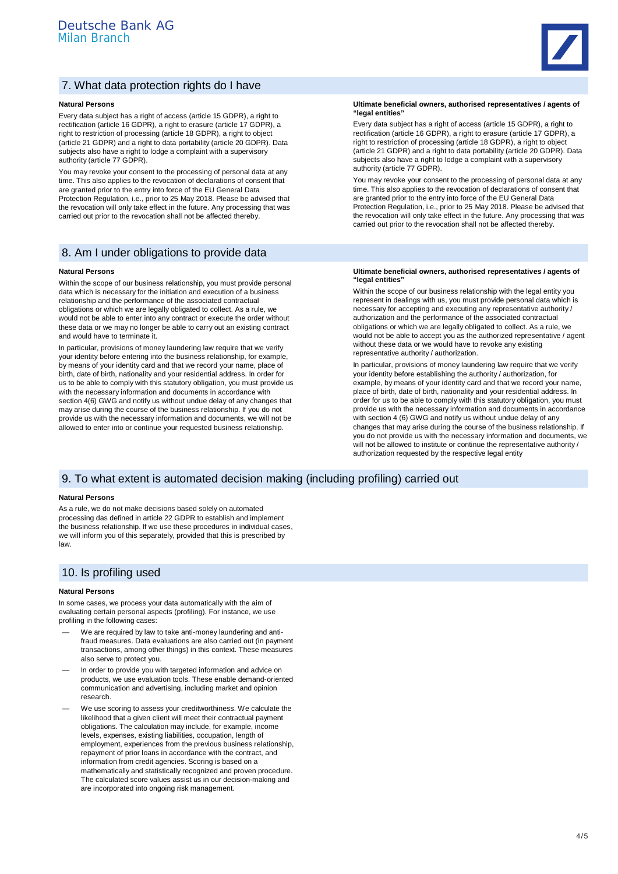

# 7. What data protection rights do I have

### **Natural Persons**

Every data subject has a right of access (article 15 GDPR), a right to rectification (article 16 GDPR), a right to erasure (article 17 GDPR), a right to restriction of processing (article 18 GDPR), a right to object (article 21 GDPR) and a right to data portability (article 20 GDPR). Data subjects also have a right to lodge a complaint with a supervisory authority (article 77 GDPR).

You may revoke your consent to the processing of personal data at any time. This also applies to the revocation of declarations of consent that are granted prior to the entry into force of the EU General Data Protection Regulation, i.e., prior to 25 May 2018. Please be advised that the revocation will only take effect in the future. Any processing that was carried out prior to the revocation shall not be affected thereby.

## 8. Am I under obligations to provide data

### **Natural Persons**

Within the scope of our business relationship, you must provide personal data which is necessary for the initiation and execution of a business relationship and the performance of the associated contractual obligations or which we are legally obligated to collect. As a rule, we would not be able to enter into any contract or execute the order without these data or we may no longer be able to carry out an existing contract and would have to terminate it.

In particular, provisions of money laundering law require that we verify your identity before entering into the business relationship, for example, by means of your identity card and that we record your name, place of birth, date of birth, nationality and your residential address. In order for us to be able to comply with this statutory obligation, you must provide us with the necessary information and documents in accordance with section 4(6) GWG and notify us without undue delay of any changes that may arise during the course of the business relationship. If you do not provide us with the necessary information and documents, we will not be allowed to enter into or continue your requested business relationship.

**Ultimate beneficial owners, authorised representatives / agents of "legal entities"**

Every data subject has a right of access (article 15 GDPR), a right to rectification (article 16 GDPR), a right to erasure (article 17 GDPR), a right to restriction of processing (article 18 GDPR), a right to object (article 21 GDPR) and a right to data portability (article 20 GDPR). Data subjects also have a right to lodge a complaint with a supervisory authority (article 77 GDPR).

You may revoke your consent to the processing of personal data at any time. This also applies to the revocation of declarations of consent that are granted prior to the entry into force of the EU General Data Protection Regulation, i.e., prior to 25 May 2018. Please be advised that the revocation will only take effect in the future. Any processing that was carried out prior to the revocation shall not be affected thereby.

### **Ultimate beneficial owners, authorised representatives / agents of "legal entities"**

Within the scope of our business relationship with the legal entity you represent in dealings with us, you must provide personal data which is necessary for accepting and executing any representative authority / authorization and the performance of the associated contractual obligations or which we are legally obligated to collect. As a rule, we would not be able to accept you as the authorized representative / agent without these data or we would have to revoke any existing representative authority / authorization.

In particular, provisions of money laundering law require that we verify your identity before establishing the authority / authorization, for example, by means of your identity card and that we record your name, place of birth, date of birth, nationality and your residential address. In order for us to be able to comply with this statutory obligation, you must provide us with the necessary information and documents in accordance with section 4 (6) GWG and notify us without undue delay of any changes that may arise during the course of the business relationship. If you do not provide us with the necessary information and documents, we will not be allowed to institute or continue the representative authority / authorization requested by the respective legal entity

# 9. To what extent is automated decision making (including profiling) carried out

### **Natural Persons**

As a rule, we do not make decisions based solely on automated processing das defined in article 22 GDPR to establish and implement the business relationship. If we use these procedures in individual cases, we will inform you of this separately, provided that this is prescribed by law.

# 10. Is profiling used

### **Natural Persons**

In some cases, we process your data automatically with the aim of evaluating certain personal aspects (profiling). For instance, we use profiling in the following cases:

- We are required by law to take anti-money laundering and antifraud measures. Data evaluations are also carried out (in payment transactions, among other things) in this context. These measures also serve to protect you.
- In order to provide you with targeted information and advice on products, we use evaluation tools. These enable demand-oriented communication and advertising, including market and opinion research.
- We use scoring to assess your creditworthiness. We calculate the likelihood that a given client will meet their contractual payment obligations. The calculation may include, for example, income levels, expenses, existing liabilities, occupation, length of employment, experiences from the previous business relationship, repayment of prior loans in accordance with the contract, and information from credit agencies. Scoring is based on a mathematically and statistically recognized and proven procedure. The calculated score values assist us in our decision-making and are incorporated into ongoing risk management.